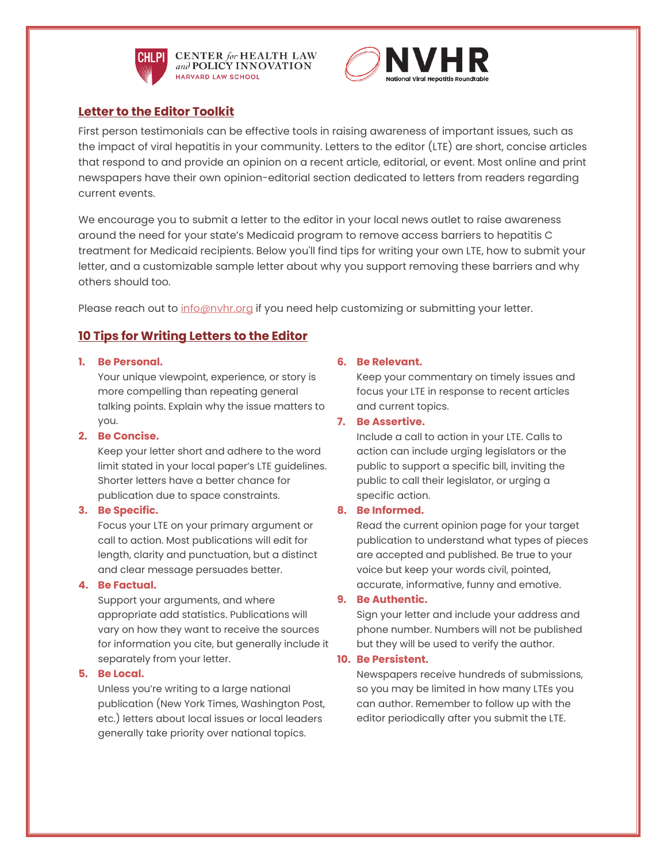

**CHLPI** CENTER for HEALTH LAW and POLICY INNOVATION HARVARD LAW SCHOOL



# **Letter to the Editor Toolkit**

First person testimonials can be effective tools in raising awareness of important issues, such as the impact of viral hepatitis in your community. Letters to the editor (LTE) are short, concise articles that respond to and provide an opinion on a recent article, editorial, or event. Most online and print newspapers have their own opinion-editorial section dedicated to letters from readers regarding current events.

We encourage you to submit a letter to the editor in your local news outlet to raise awareness around the need for your state's Medicaid program to remove access barriers to hepatitis C treatment for Medicaid recipients. Below you'll find tips for writing your own LTE, how to submit your letter, and a customizable sample letter about why you support removing these barriers and why others should too.

Please reach out to info@nyhr.org if you need help customizing or submitting your letter.

# **10 Tips for Writing Letters to the Editor**

#### **1. Be Personal.**

Your unique viewpoint, experience, or story is more compelling than repeating general talking points. Explain why the issue matters to you.

## **2. Be Concise.**

Keep your letter short and adhere to the word limit stated in your local paper's LTE guidelines. Shorter letters have a better chance for publication due to space constraints.

#### **3. Be Specific.**

Focus your LTE on your primary argument or call to action. Most publications will edit for length, clarity and punctuation, but a distinct and clear message persuades better.

## **4. Be Factual.**

Support your arguments, and where appropriate add statistics. Publications will vary on how they want to receive the sources for information you cite, but generally include it separately from your letter.

#### **5. Be Local.**

Unless you're writing to a large national publication (New York Times, Washington Post, etc.) letters about local issues or local leaders generally take priority over national topics.

## **6. Be Relevant.**

Keep your commentary on timely issues and focus your LTE in response to recent articles and current topics.

#### **7. Be Assertive.**

Include a call to action in your LTE. Calls to action can include urging legislators or the public to support a specific bill, inviting the public to call their legislator, or urging a specific action.

## **8. Be Informed.**

Read the current opinion page for your target publication to understand what types of pieces are accepted and published. Be true to your voice but keep your words civil, pointed, accurate, informative, funny and emotive.

#### **9. Be Authentic.**

Sign your letter and include your address and phone number. Numbers will not be published but they will be used to verify the author.

## **10. Be Persistent.**

Newspapers receive hundreds of submissions, so you may be limited in how many LTEs you can author. Remember to follow up with the editor periodically after you submit the LTE.